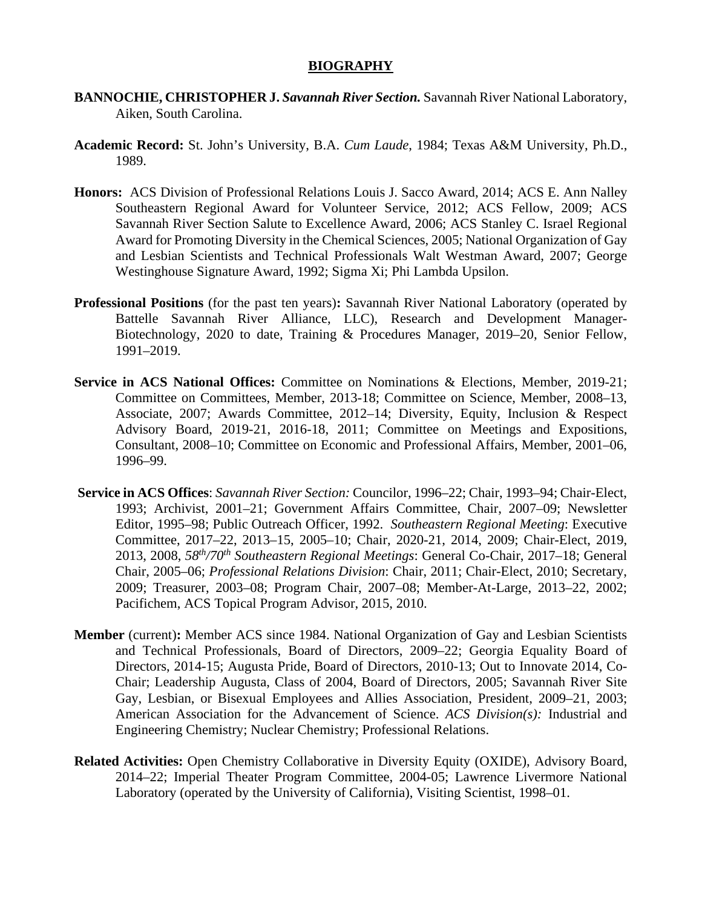### **BIOGRAPHY**

- **BANNOCHIE, CHRISTOPHER J.** *Savannah River Section.* Savannah River National Laboratory, Aiken, South Carolina.
- **Academic Record:** St. John's University, B.A. *Cum Laude*, 1984; Texas A&M University, Ph.D., 1989.
- **Honors:** ACS Division of Professional Relations Louis J. Sacco Award, 2014; ACS E. Ann Nalley Southeastern Regional Award for Volunteer Service, 2012; ACS Fellow, 2009; ACS Savannah River Section Salute to Excellence Award, 2006; ACS Stanley C. Israel Regional Award for Promoting Diversity in the Chemical Sciences, 2005; National Organization of Gay and Lesbian Scientists and Technical Professionals Walt Westman Award, 2007; George Westinghouse Signature Award, 1992; Sigma Xi; Phi Lambda Upsilon.
- **Professional Positions** (for the past ten years)**:** Savannah River National Laboratory (operated by Battelle Savannah River Alliance, LLC), Research and Development Manager-Biotechnology, 2020 to date, Training & Procedures Manager, 2019–20, Senior Fellow, 1991–2019.
- **Service in ACS National Offices:** Committee on Nominations & Elections, Member, 2019-21; Committee on Committees, Member, 2013-18; Committee on Science, Member, 2008–13, Associate, 2007; Awards Committee, 2012–14; Diversity, Equity, Inclusion & Respect Advisory Board, 2019-21, 2016-18, 2011; Committee on Meetings and Expositions, Consultant, 2008–10; Committee on Economic and Professional Affairs, Member, 2001–06, 1996–99.
- **Service in ACS Offices**: *Savannah River Section:* Councilor, 1996–22; Chair, 1993–94; Chair-Elect, 1993; Archivist, 2001–21; Government Affairs Committee, Chair, 2007–09; Newsletter Editor, 1995–98; Public Outreach Officer, 1992. *Southeastern Regional Meeting*: Executive Committee, 2017–22, 2013–15, 2005–10; Chair, 2020-21, 2014, 2009; Chair-Elect, 2019, 2013, 2008, *58th/70th Southeastern Regional Meetings*: General Co-Chair, 2017–18; General Chair, 2005–06; *Professional Relations Division*: Chair, 2011; Chair-Elect, 2010; Secretary, 2009; Treasurer, 2003–08; Program Chair, 2007–08; Member-At-Large, 2013–22, 2002; Pacifichem, ACS Topical Program Advisor, 2015, 2010.
- **Member** (current)**:** Member ACS since 1984. National Organization of Gay and Lesbian Scientists and Technical Professionals, Board of Directors, 2009–22; Georgia Equality Board of Directors, 2014-15; Augusta Pride, Board of Directors, 2010-13; Out to Innovate 2014, Co-Chair; Leadership Augusta, Class of 2004, Board of Directors, 2005; Savannah River Site Gay, Lesbian, or Bisexual Employees and Allies Association, President, 2009–21, 2003; American Association for the Advancement of Science. *ACS Division(s):* Industrial and Engineering Chemistry; Nuclear Chemistry; Professional Relations.
- **Related Activities:** Open Chemistry Collaborative in Diversity Equity (OXIDE), Advisory Board, 2014–22; Imperial Theater Program Committee, 2004-05; Lawrence Livermore National Laboratory (operated by the University of California), Visiting Scientist, 1998–01.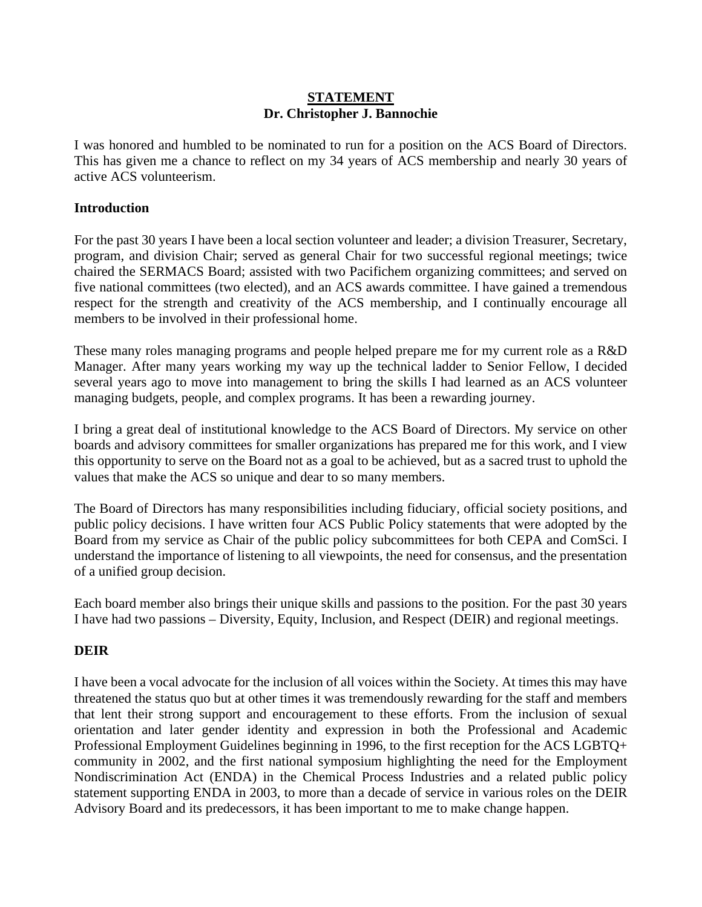### **STATEMENT Dr. Christopher J. Bannochie**

I was honored and humbled to be nominated to run for a position on the ACS Board of Directors. This has given me a chance to reflect on my 34 years of ACS membership and nearly 30 years of active ACS volunteerism.

# **Introduction**

For the past 30 years I have been a local section volunteer and leader; a division Treasurer, Secretary, program, and division Chair; served as general Chair for two successful regional meetings; twice chaired the SERMACS Board; assisted with two Pacifichem organizing committees; and served on five national committees (two elected), and an ACS awards committee. I have gained a tremendous respect for the strength and creativity of the ACS membership, and I continually encourage all members to be involved in their professional home.

These many roles managing programs and people helped prepare me for my current role as a R&D Manager. After many years working my way up the technical ladder to Senior Fellow, I decided several years ago to move into management to bring the skills I had learned as an ACS volunteer managing budgets, people, and complex programs. It has been a rewarding journey.

I bring a great deal of institutional knowledge to the ACS Board of Directors. My service on other boards and advisory committees for smaller organizations has prepared me for this work, and I view this opportunity to serve on the Board not as a goal to be achieved, but as a sacred trust to uphold the values that make the ACS so unique and dear to so many members.

The Board of Directors has many responsibilities including fiduciary, official society positions, and public policy decisions. I have written four ACS Public Policy statements that were adopted by the Board from my service as Chair of the public policy subcommittees for both CEPA and ComSci. I understand the importance of listening to all viewpoints, the need for consensus, and the presentation of a unified group decision.

Each board member also brings their unique skills and passions to the position. For the past 30 years I have had two passions – Diversity, Equity, Inclusion, and Respect (DEIR) and regional meetings.

# **DEIR**

I have been a vocal advocate for the inclusion of all voices within the Society. At times this may have threatened the status quo but at other times it was tremendously rewarding for the staff and members that lent their strong support and encouragement to these efforts. From the inclusion of sexual orientation and later gender identity and expression in both the Professional and Academic Professional Employment Guidelines beginning in 1996, to the first reception for the ACS LGBTQ+ community in 2002, and the first national symposium highlighting the need for the Employment Nondiscrimination Act (ENDA) in the Chemical Process Industries and a related public policy statement supporting ENDA in 2003, to more than a decade of service in various roles on the DEIR Advisory Board and its predecessors, it has been important to me to make change happen.